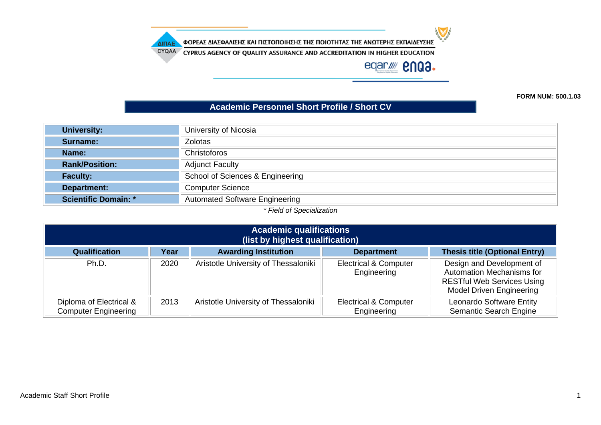$\sum$ 

ΦΟΡΕΑΣ ΔΙΑΣΦΑΛΙΣΗΣ ΚΑΙ ΠΙΣΤΟΠΟΙΗΣΗΣ ΤΗΣ ΠΟΙΟΤΗΤΑΣ ΤΗΣ ΑΝΩΤΕΡΗΣ ΕΚΠΑΙΔΕΥΣΗΣ ΔΙΠΑΕ

CYQAA CYPRUS AGENCY OF QUALITY ASSURANCE AND ACCREDITATION IN HIGHER EDUCATION

eqar//// **enga.** 

**FORM NUM: 500.1.03**

## **Academic Personnel Short Profile / Short CV**

| University of Nicosia                 |
|---------------------------------------|
| <b>Zolotas</b>                        |
| Christoforos                          |
| <b>Adjunct Faculty</b>                |
| School of Sciences & Engineering      |
| <b>Computer Science</b>               |
| <b>Automated Software Engineering</b> |
|                                       |

*\* Field of Specialization*

| <b>Academic qualifications</b><br>(list by highest qualification) |      |                                      |                                                 |                                                                                                                                       |
|-------------------------------------------------------------------|------|--------------------------------------|-------------------------------------------------|---------------------------------------------------------------------------------------------------------------------------------------|
| <b>Qualification</b>                                              | Year | <b>Awarding Institution</b>          | <b>Department</b>                               | <b>Thesis title (Optional Entry)</b>                                                                                                  |
| Ph.D.                                                             | 2020 | Aristotle University of Thessaloniki | <b>Electrical &amp; Computer</b><br>Engineering | Design and Development of<br><b>Automation Mechanisms for</b><br><b>RESTful Web Services Using</b><br><b>Model Driven Engineering</b> |
| Diploma of Electrical &<br><b>Computer Engineering</b>            | 2013 | Aristotle University of Thessaloniki | <b>Electrical &amp; Computer</b><br>Engineering | <b>Leonardo Software Entity</b><br><b>Semantic Search Engine</b>                                                                      |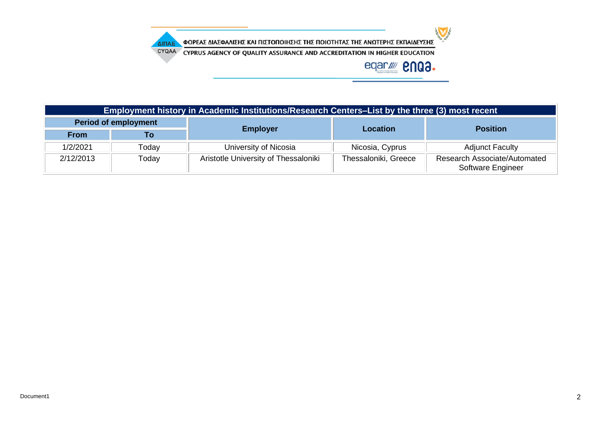

ΦΟΡΕΑΣ ΔΙΑΣΦΑΛΙΣΗΣ ΚΑΙ ΠΙΣΤΟΠΟΙΗΣΗΣ ΤΗΣ ΠΟΙΟΤΗΤΑΣ ΤΗΣ ΑΝΩΤΕΡΗΣ ΕΚΠΑΙΔΕΥΣΗΣ ΔΙΠΑΕ

CYQAA CYPRUS AGENCY OF QUALITY ASSURANCE AND ACCREDITATION IN HIGHER EDUCATION

## eqar/ **2003.**

| Employment history in Academic Institutions/Research Centers-List by the three (3) most recent |       |                                      |                      |                                                          |  |
|------------------------------------------------------------------------------------------------|-------|--------------------------------------|----------------------|----------------------------------------------------------|--|
| <b>Period of employment</b>                                                                    |       |                                      | <b>Location</b>      | <b>Position</b>                                          |  |
| <b>From</b>                                                                                    | Гο    | <b>Employer</b>                      |                      |                                                          |  |
| 1/2/2021                                                                                       | Todav | University of Nicosia                | Nicosia, Cyprus      | <b>Adjunct Faculty</b>                                   |  |
| 2/12/2013                                                                                      | Today | Aristotle University of Thessaloniki | Thessaloniki, Greece | <b>Research Associate/Automated</b><br>Software Engineer |  |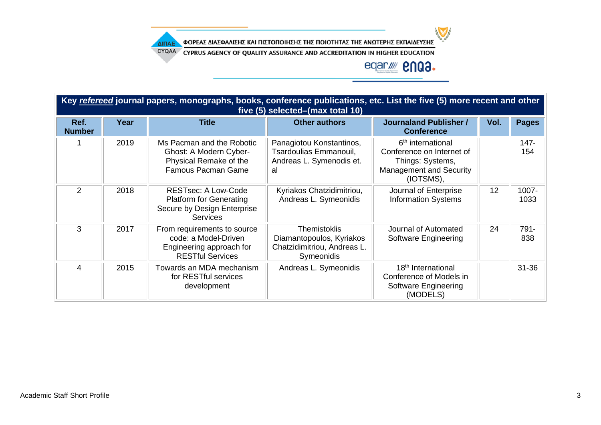$\sum$ 

ΦΟΡΕΑΣ ΔΙΑΣΦΑΛΙΣΗΣ ΚΑΙ ΠΙΣΤΟΠΟΙΗΣΗΣ ΤΗΣ ΠΟΙΟΤΗΤΑΣ ΤΗΣ ΑΝΩΤΕΡΗΣ ΕΚΠΑΙΔΕΥΣΗΣ ΔΙΠΑΕ

CYQAA CYPRUS AGENCY OF QUALITY ASSURANCE AND ACCREDITATION IN HIGHER EDUCATION

## eqar/ **2003.**

| Key refereed journal papers, monographs, books, conference publications, etc. List the five (5) more recent and other<br>five (5) selected–(max total 10) |      |                                                                                                                |                                                                                              |                                                                                                                               |      |                |  |
|-----------------------------------------------------------------------------------------------------------------------------------------------------------|------|----------------------------------------------------------------------------------------------------------------|----------------------------------------------------------------------------------------------|-------------------------------------------------------------------------------------------------------------------------------|------|----------------|--|
| Ref.<br><b>Number</b>                                                                                                                                     | Year | <b>Title</b>                                                                                                   | <b>Other authors</b>                                                                         | <b>Journaland Publisher /</b><br><b>Conference</b>                                                                            | Vol. | <b>Pages</b>   |  |
|                                                                                                                                                           | 2019 | Ms Pacman and the Robotic<br>Ghost: A Modern Cyber-<br>Physical Remake of the<br><b>Famous Pacman Game</b>     | Panagiotou Konstantinos,<br>Tsardoulias Emmanouil,<br>Andreas L. Symenodis et.<br>al         | 6 <sup>th</sup> international<br>Conference on Internet of<br>Things: Systems,<br><b>Management and Security</b><br>(IOTSMS), |      | $147 -$<br>154 |  |
| 2                                                                                                                                                         | 2018 | <b>RESTsec: A Low-Code</b><br><b>Platform for Generating</b><br>Secure by Design Enterprise<br><b>Services</b> | Kyriakos Chatzidimitriou,<br>Andreas L. Symeonidis                                           | Journal of Enterprise<br><b>Information Systems</b>                                                                           | 12   | 1007-<br>1033  |  |
| 3                                                                                                                                                         | 2017 | From requirements to source<br>code: a Model-Driven<br>Engineering approach for<br><b>RESTful Services</b>     | <b>Themistoklis</b><br>Diamantopoulos, Kyriakos<br>Chatzidimitriou, Andreas L.<br>Symeonidis | Journal of Automated<br>Software Engineering                                                                                  | 24   | 791-<br>838    |  |
| $\overline{4}$                                                                                                                                            | 2015 | Towards an MDA mechanism<br>for RESTful services<br>development                                                | Andreas L. Symeonidis                                                                        | 18 <sup>th</sup> International<br>Conference of Models in<br><b>Software Engineering</b><br>(MODELS)                          |      | $31 - 36$      |  |